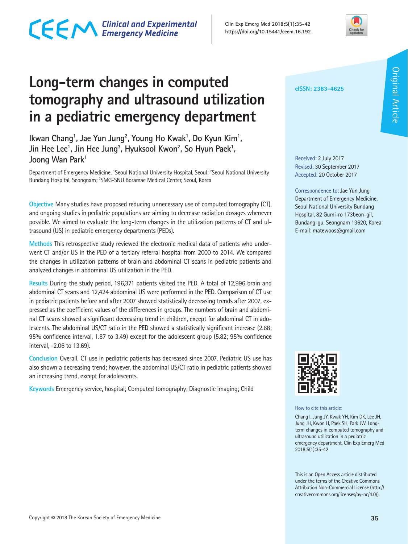# CECM Clinical and Experimental

**Clin Exp Emerg Med 2018;5(1):35-42 https://doi.org/10.15441/ceem.16.192**



# **Long-term changes in computed tomography and ultrasound utilization in a pediatric emergency department**

Ikwan Chang<sup>1</sup>, Jae Yun Jung<sup>2</sup>, Young Ho Kwak<sup>1</sup>, Do Kyun Kim<sup>1</sup>, Jin Hee Lee<sup>1</sup>, Jin Hee Jung<sup>3</sup>, Hyuksool Kwon<sup>2</sup>, So Hyun Paek<sup>1</sup>, Joong Wan Park<sup>1</sup>

Department of Emergency Medicine, 'Seoul National University Hospital, Seoul; <sup>2</sup>Seoul National University Bundang Hospital, Seongnam; <sup>3</sup>SMG-SNU Boramae Medical Center, Seoul, Korea

**Objective** Many studies have proposed reducing unnecessary use of computed tomography (CT), and ongoing studies in pediatric populations are aiming to decrease radiation dosages whenever possible. We aimed to evaluate the long-term changes in the utilization patterns of CT and ultrasound (US) in pediatric emergency departments (PEDs).

**Methods** This retrospective study reviewed the electronic medical data of patients who underwent CT and/or US in the PED of a tertiary referral hospital from 2000 to 2014. We compared the changes in utilization patterns of brain and abdominal CT scans in pediatric patients and analyzed changes in abdominal US utilization in the PED.

**Results** During the study period, 196,371 patients visited the PED. A total of 12,996 brain and abdominal CT scans and 12,424 abdominal US were performed in the PED. Comparison of CT use in pediatric patients before and after 2007 showed statistically decreasing trends after 2007, expressed as the coefficient values of the differences in groups. The numbers of brain and abdominal CT scans showed a significant decreasing trend in children, except for abdominal CT in adolescents. The abdominal US/CT ratio in the PED showed a statistically significant increase (2.68; 95% confidence interval, 1.87 to 3.49) except for the adolescent group (5.82; 95% confidence interval, -2.06 to 13.69).

**Conclusion** Overall, CT use in pediatric patients has decreased since 2007. Pediatric US use has also shown a decreasing trend; however, the abdominal US/CT ratio in pediatric patients showed an increasing trend, except for adolescents.

**Keywords** Emergency service, hospital; Computed tomography; Diagnostic imaging; Child

**eISSN: 2383-4625**

Received: 2 July 2017 Revised: 30 September 2017 Accepted: 20 October 2017

Correspondence to: Jae Yun Jung Department of Emergency Medicine, Seoul National University Bundang Hospital, 82 Gumi-ro 173beon-gil, Bundang-gu, Seongnam 13620, Korea E-mail: matewoos@gmail.com



How to cite this article:

Chang I, Jung JY, Kwak YH, Kim DK, Lee JH, Jung JH, Kwon H, Paek SH, Park JW. Longterm changes in computed tomography and ultrasound utilization in a pediatric emergency department. Clin Exp Emerg Med 2018;5(1):35-42

This is an Open Access article distributed under the terms of the Creative Commons Attribution Non-Commercial License (http:// creativecommons.org/licenses/by-nc/4.0/).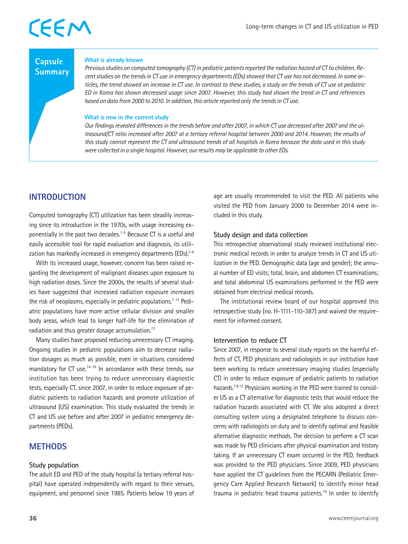### **Capsule Summary**

#### **What is already known**

*Previous studies on computed tomography (CT) in pediatric patients reported the radiation hazard of CT to children. Recent studies on the trends in CT use in emergency departments (EDs) showed that CT use has not decreased. In some articles, the trend showed an increase in CT use. In contrast to these studies, a study on the trends of CT use at pediatric ED in Korea has shown decreased usage since 2007. However, this study had shown the trend in CT and references based on data from 2000 to 2010. In addition, this article reported only the trends in CT use.*

#### **What is new in the current study**

*Our findings revealed differences in the trends before and after 2007, in which CT use decreased after 2007 and the ultrasound/CT ratio increased after 2007 at a tertiary referral hospital between 2000 and 2014. However, the results of this study cannot represent the CT and ultrasound trends of all hospitals in Korea because the data used in this study were collected in a single hospital. However, our results may be applicable to other EDs.*

### **INTRODUCTION**

Computed tomography (CT) utilization has been steadily increasing since its introduction in the 1970s, with usage increasing exponentially in the past two decades.<sup>1-5</sup> Because CT is a useful and easily accessible tool for rapid evaluation and diagnosis, its utilization has markedly increased in emergency departments (EDs).<sup>2-6</sup>

With its increased usage, however, concern has been raised regarding the development of malignant diseases upon exposure to high radiation doses. Since the 2000s, the results of several studies have suggested that increased radiation exposure increases the risk of neoplasms, especially in pediatric populations.<sup>7-12</sup> Pediatric populations have more active cellular division and smaller body areas, which lead to longer half-life for the elimination of radiation and thus greater dosage accumulation.<sup>13</sup>

Many studies have proposed reducing unnecessary CT imaging. Ongoing studies in pediatric populations aim to decrease radiation dosages as much as possible, even in situations considered mandatory for CT use.<sup>14-18</sup> In accordance with these trends, our institution has been trying to reduce unnecessary diagnostic tests, especially CT, since 2007, in order to reduce exposure of pediatric patients to radiation hazards and promote utilization of ultrasound (US) examination. This study evaluated the trends in CT and US use before and after 2007 in pediatric emergency departments (PEDs).

## **METHODS**

### **Study population**

The adult ED and PED of the study hospital (a tertiary referral hospital) have operated independently with regard to their venues, equipment, and personnel since 1985. Patients below 19 years of age are usually recommended to visit the PED. All patients who visited the PED from January 2000 to December 2014 were included in this study.

#### **Study design and data collection**

This retrospective observational study reviewed institutional electronic medical records in order to analyze trends in CT and US utilization in the PED. Demographic data (age and gender); the annual number of ED visits; total, brain, and abdomen CT examinations; and total abdominal US examinations performed in the PED were obtained from electrical medical records.

The institutional review board of our hospital approved this retrospective study (no. H-1111-110-387) and waived the requirement for informed consent.

### **Intervention to reduce CT**

Since 2007, in response to several study reports on the harmful effects of CT, PED physicians and radiologists in our institution have been working to reduce unnecessary imaging studies (especially CT) in order to reduce exposure of pediatric patients to radiation hazards.<sup>7,9,12</sup> Physicians working in the PED were trained to consider US as a CT alternative for diagnostic tests that would reduce the radiation hazards associated with CT. We also adopted a direct consulting system using a designated telephone to discuss concerns with radiologists on duty and to identify optimal and feasible alternative diagnostic methods. The decision to perform a CT scan was made by PED clinicians after physical examination and history taking. If an unnecessary CT exam occurred in the PED, feedback was provided to the PED physicians. Since 2009, PED physicians have applied the CT guidelines from the PECARN (Pediatric Emergency Care Applied Research Network) to identify minor head trauma in pediatric head trauma patients.<sup>19</sup> In order to identify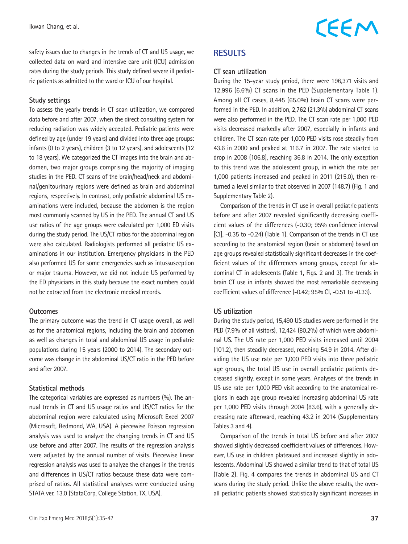safety issues due to changes in the trends of CT and US usage, we collected data on ward and intensive care unit (ICU) admission rates during the study periods. This study defined severe ill pediatric patients as admitted to the ward or ICU of our hospital.

#### **Study settings**

To assess the yearly trends in CT scan utilization, we compared data before and after 2007, when the direct consulting system for reducing radiation was widely accepted. Pediatric patients were defined by age (under 19 years) and divided into three age groups: infants (0 to 2 years), children (3 to 12 years), and adolescents (12 to 18 years). We categorized the CT images into the brain and abdomen, two major groups comprising the majority of imaging studies in the PED. CT scans of the brain/head/neck and abdominal/genitourinary regions were defined as brain and abdominal regions, respectively. In contrast, only pediatric abdominal US examinations were included, because the abdomen is the region most commonly scanned by US in the PED. The annual CT and US use ratios of the age groups were calculated per 1,000 ED visits during the study period. The US/CT ratios for the abdominal region were also calculated. Radiologists performed all pediatric US examinations in our institution. Emergency physicians in the PED also performed US for some emergencies such as intussusception or major trauma. However, we did not include US performed by the ED physicians in this study because the exact numbers could not be extracted from the electronic medical records.

#### **Outcomes**

The primary outcome was the trend in CT usage overall, as well as for the anatomical regions, including the brain and abdomen as well as changes in total and abdominal US usage in pediatric populations during 15 years (2000 to 2014). The secondary outcome was change in the abdominal US/CT ratio in the PED before and after 2007.

#### **Statistical methods**

The categorical variables are expressed as numbers (%). The annual trends in CT and US usage ratios and US/CT ratios for the abdominal region were calculated using Microsoft Excel 2007 (Microsoft, Redmond, WA, USA). A piecewise Poisson regression analysis was used to analyze the changing trends in CT and US use before and after 2007. The results of the regression analysis were adjusted by the annual number of visits. Piecewise linear regression analysis was used to analyze the changes in the trends and differences in US/CT ratios because these data were comprised of ratios. All statistical analyses were conducted using STATA ver. 13.0 (StataCorp, College Station, TX, USA).

### **RESULTS**

#### **CT scan utilization**

During the 15-year study period, there were 196,371 visits and 12,996 (6.6%) CT scans in the PED (Supplementary Table 1). Among all CT cases, 8,445 (65.0%) brain CT scans were performed in the PED. In addition, 2,762 (21.3%) abdominal CT scans were also performed in the PED. The CT scan rate per 1,000 PED visits decreased markedly after 2007, especially in infants and children. The CT scan rate per 1,000 PED visits rose steadily from 43.6 in 2000 and peaked at 116.7 in 2007. The rate started to drop in 2008 (106.8), reaching 36.8 in 2014. The only exception to this trend was the adolescent group, in which the rate per 1,000 patients increased and peaked in 2011 (215.0), then returned a level similar to that observed in 2007 (148.7) (Fig. 1 and Supplementary Table 2).

Comparison of the trends in CT use in overall pediatric patients before and after 2007 revealed significantly decreasing coefficient values of the differences (-0.30; 95% confidence interval [CI], -0.35 to -0.24) (Table 1). Comparison of the trends in CT use according to the anatomical region (brain or abdomen) based on age groups revealed statistically significant decreases in the coefficient values of the differences among groups, except for abdominal CT in adolescents (Table 1, Figs. 2 and 3). The trends in brain CT use in infants showed the most remarkable decreasing coefficient values of difference (-0.42; 95% CI, -0.51 to -0.33).

#### **US utilization**

During the study period, 15,490 US studies were performed in the PED (7.9% of all visitors), 12,424 (80.2%) of which were abdominal US. The US rate per 1,000 PED visits increased until 2004 (101.2), then steadily decreased, reaching 54.9 in 2014. After dividing the US use rate per 1,000 PED visits into three pediatric age groups, the total US use in overall pediatric patients decreased slightly, except in some years. Analyses of the trends in US use rate per 1,000 PED visit according to the anatomical regions in each age group revealed increasing abdominal US rate per 1,000 PED visits through 2004 (83.6), with a generally decreasing rate afterward, reaching 43.2 in 2014 (Supplementary Tables 3 and 4).

Comparison of the trends in total US before and after 2007 showed slightly decreased coefficient values of differences. However, US use in children plateaued and increased slightly in adolescents. Abdominal US showed a similar trend to that of total US (Table 2). Fig. 4 compares the trends in abdominal US and CT scans during the study period. Unlike the above results, the overall pediatric patients showed statistically significant increases in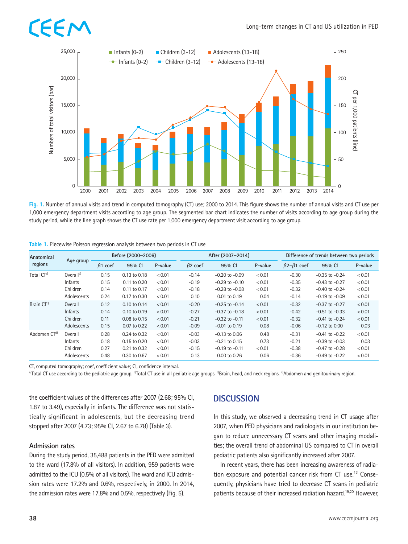# EE I



**Fig. 1.** Number of annual visits and trend in computed tomography (CT) use; 2000 to 2014. This figure shows the number of annual visits and CT use per 1,000 emergency department visits according to age group. The segmented bar chart indicates the number of visits according to age group during the study period, while the line graph shows the CT use rate per 1,000 emergency department visit according to age group.

| Anatomical              | Age group             |                | Before (2000-2006) |         |                | After (2007-2014)  |         | Difference of trends between two periods |                    |         |  |  |  |
|-------------------------|-----------------------|----------------|--------------------|---------|----------------|--------------------|---------|------------------------------------------|--------------------|---------|--|--|--|
| regions                 |                       | $\beta$ 1 coef | 95% CI             | P-value | $\beta$ 2 coef | 95% CI             | P-value | $\beta$ 2- $\beta$ 1 coef                | 95% CI             | P-value |  |  |  |
| Total CT <sup>a)</sup>  | Overall <sup>b)</sup> | 0.15           | 0.13 to 0.18       | < 0.01  | $-0.14$        | $-0.20$ to $-0.09$ | < 0.01  | $-0.30$                                  | $-0.35$ to $-0.24$ | < 0.01  |  |  |  |
|                         | Infants               | 0.15           | 0.11 to 0.20       | < 0.01  | $-0.19$        | $-0.29$ to $-0.10$ | < 0.01  | $-0.35$                                  | $-0.43$ to $-0.27$ | < 0.01  |  |  |  |
|                         | Children              | 0.14           | 0.11 to 0.17       | < 0.01  | $-0.18$        | $-0.28$ to $-0.08$ | < 0.01  | $-0.32$                                  | $-0.40$ to $-0.24$ | < 0.01  |  |  |  |
|                         | Adolescents           | 0.24           | 0.17 to 0.30       | < 0.01  | 0.10           | 0.01 to 0.19       | 0.04    | $-0.14$                                  | $-0.19$ to $-0.09$ | < 0.01  |  |  |  |
| Brain CT <sup>c)</sup>  | Overall               | 0.12           | 0.10 to 0.14       | < 0.01  | $-0.20$        | $-0.25$ to $-0.14$ | < 0.01  | $-0.32$                                  | $-0.37$ to $-0.27$ | < 0.01  |  |  |  |
|                         | Infants               | 0.14           | 0.10 to 0.19       | < 0.01  | $-0.27$        | $-0.37$ to $-0.18$ | < 0.01  | $-0.42$                                  | $-0.51$ to $-0.33$ | < 0.01  |  |  |  |
|                         | Children              | 0.11           | 0.08 to 0.15       | < 0.01  | $-0.21$        | $-0.32$ to $-0.11$ | < 0.01  | $-0.32$                                  | $-0.41$ to $-0.24$ | < 0.01  |  |  |  |
|                         | Adolescents           | 0.15           | 0.07 to 0.22       | < 0.01  | $-0.09$        | $-0.01$ to $0.19$  | 0.08    | $-0.06$                                  | $-0.12$ to $0.00$  | 0.03    |  |  |  |
| Abdomen CT <sup>d</sup> | Overall               | 0.28           | 0.24 to 0.32       | < 0.01  | $-0.03$        | $-0.13$ to $0.06$  | 0.48    | $-0.31$                                  | $-0.41$ to $-0.22$ | < 0.01  |  |  |  |
|                         | Infants               | 0.18           | 0.15 to 0.20       | < 0.01  | $-0.03$        | $-0.21$ to $0.15$  | 0.73    | $-0.21$                                  | $-0.39$ to $-0.03$ | 0.03    |  |  |  |
|                         | Children              | 0.27           | 0.21 to 0.32       | < 0.01  | $-0.15$        | $-0.19$ to $-0.11$ | < 0.01  | $-0.38$                                  | $-0.47$ to $-0.28$ | < 0.01  |  |  |  |
|                         | Adolescents           | 0.48           | 0.30 to 0.67       | < 0.01  | 0.13           | 0.00 to 0.26       | 0.06    | $-0.36$                                  | $-0.49$ to $-0.22$ | < 0.01  |  |  |  |

|  | Table 1. Piecewise Poisson regression analysis between two periods in CT use |  |  |  |
|--|------------------------------------------------------------------------------|--|--|--|
|--|------------------------------------------------------------------------------|--|--|--|

CT, computed tomography; coef, coefficient value; CI, confidence interval.<br><sup>a)</sup>Total CT use according to the pediatric age group. <sup>b</sup>Total CT use in all pediatric age groups. <sup>o</sup>Brain, head, and neck regions. <sup>d)</sup>Abdomen a

the coefficient values of the differences after 2007 (2.68; 95% CI, 1.87 to 3.49), especially in infants. The difference was not statistically significant in adolescents, but the decreasing trend stopped after 2007 (4.73; 95% CI, 2.67 to 6.78) (Table 3).

#### **Admission rates**

During the study period, 35,488 patients in the PED were admitted to the ward (17.8% of all visitors). In addition, 959 patients were admitted to the ICU (0.5% of all visitors). The ward and ICU admission rates were 17.2% and 0.6%, respectively, in 2000. In 2014, the admission rates were 17.8% and 0.5%, respectively (Fig. 5).

### **DISCUSSION**

In this study, we observed a decreasing trend in CT usage after 2007, when PED physicians and radiologists in our institution began to reduce unnecessary CT scans and other imaging modalities; the overall trend of abdominal US compared to CT in overall pediatric patients also significantly increased after 2007.

In recent years, there has been increasing awareness of radiation exposure and potential cancer risk from CT use.<sup>13</sup> Consequently, physicians have tried to decrease CT scans in pediatric patients because of their increased radiation hazard.19,20 However,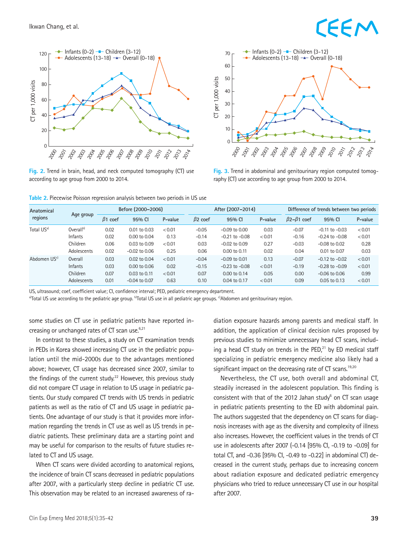# EEN



**Fig. 2.** Trend in brain, head, and neck computed tomography (CT) use according to age group from 2000 to 2014.



**Fig. 3.** Trend in abdominal and genitourinary region computed tomography (CT) use according to age group from 2000 to 2014.

**Table 2.** Piecewise Poisson regression analysis between two periods in US use

| Anatomical               |                |                | Before (2000-2006) |         |                | After (2007-2014)  |         |                           | Difference of trends between two periods |         |  |  |  |
|--------------------------|----------------|----------------|--------------------|---------|----------------|--------------------|---------|---------------------------|------------------------------------------|---------|--|--|--|
| regions                  | Age group      | $\beta$ 1 coef | 95% CI             | P-value | $\beta$ 2 coef | 95% CI             | P-value | $\beta$ 2- $\beta$ 1 coef | 95% CI                                   | P-value |  |  |  |
| Total US <sup>a)</sup>   | $Overall^{b)}$ | 0.02           | $0.01$ to $0.03$   | < 0.01  | $-0.05$        | $-0.09$ to $0.00$  | 0.03    | $-0.07$                   | $-0.11$ to $-0.03$                       | < 0.01  |  |  |  |
|                          | Infants        | 0.02           | $0.00$ to $0.04$   | 0.13    | $-0.14$        | $-0.21$ to $-0.08$ | < 0.01  | $-0.16$                   | $-0.24$ to $-0.08$                       | < 0.01  |  |  |  |
|                          | Children       | 0.06           | 0.03 to 0.09       | < 0.01  | 0.03           | $-0.02$ to $0.09$  | 0.27    | $-0.03$                   | $-0.08$ to $0.02$                        | 0.28    |  |  |  |
|                          | Adolescents    | 0.02           | $-0.02$ to 0.06    | 0.25    | 0.06           | $0.00$ to $0.11$   | 0.02    | 0.04                      | 0.01 to 0.07                             | 0.03    |  |  |  |
| Abdomen US <sup>c)</sup> | Overall        | 0.03           | $0.02$ to $0.04$   | < 0.01  | $-0.04$        | $-0.09$ to $0.01$  | 0.13    | $-0.07$                   | $-0.12$ to $-0.02$                       | < 0.01  |  |  |  |
|                          | Infants        | 0.03           | $0.00$ to $0.06$   | 0.02    | $-0.15$        | $-0.23$ to $-0.08$ | < 0.01  | $-0.19$                   | $-0.28$ to $-0.09$                       | < 0.01  |  |  |  |
|                          | Children       | 0.07           | $0.03$ to $0.11$   | < 0.01  | 0.07           | $0.00$ to $0.14$   | 0.05    | 0.00                      | $-0.06$ to $0.06$                        | 0.99    |  |  |  |
|                          | Adolescents    | 0.01           | $-0.04$ to 0.07    | 0.63    | 0.10           | 0.04 to 0.17       | < 0.01  | 0.09                      | 0.05 to 0.13                             | < 0.01  |  |  |  |

US, ultrasound; coef, coefficient value; CI, confidence interval; PED, pediatric emergency department.<br><sup>a)</sup>Total US use according to the pediatric age group. <sup>b</sup>Total US use in all pediatric age groups. <sup>e)</sup>Abdomen and gen

some studies on CT use in pediatric patients have reported increasing or unchanged rates of CT scan use.<sup>6,21</sup>

In contrast to these studies, a study on CT examination trends in PEDs in Korea showed increasing CT use in the pediatric population until the mid-2000s due to the advantages mentioned above; however, CT usage has decreased since 2007, similar to the findings of the current study.<sup>22</sup> However, this previous study did not compare CT usage in relation to US usage in pediatric patients. Our study compared CT trends with US trends in pediatric patients as well as the ratio of CT and US usage in pediatric patients. One advantage of our study is that it provides more information regarding the trends in CT use as well as US trends in pediatric patients. These preliminary data are a starting point and may be useful for comparison to the results of future studies related to CT and US usage.

When CT scans were divided according to anatomical regions, the incidence of brain CT scans decreased in pediatric populations after 2007, with a particularly steep decline in pediatric CT use. This observation may be related to an increased awareness of radiation exposure hazards among parents and medical staff. In addition, the application of clinical decision rules proposed by previous studies to minimize unnecessary head CT scans, including a head CT study on trends in the  $PED<sub>1</sub><sup>21</sup>$  by ED medical staff specializing in pediatric emergency medicine also likely had a significant impact on the decreasing rate of CT scans.<sup>19,20</sup>

Nevertheless, the CT use, both overall and abdominal CT, steadily increased in the adolescent population. This finding is consistent with that of the 2012 Jahan study $6$  on CT scan usage in pediatric patients presenting to the ED with abdominal pain. The authors suggested that the dependency on CT scans for diagnosis increases with age as the diversity and complexity of illness also increases. However, the coefficient values in the trends of CT use in adolescents after 2007 (-0.14 [95% CI, -0.19 to -0.09] for total CT, and -0.36 [95% CI, -0.49 to -0.22] in abdominal CT) decreased in the current study, perhaps due to increasing concern about radiation exposure and dedicated pediatric emergency physicians who tried to reduce unnecessary CT use in our hospital after 2007.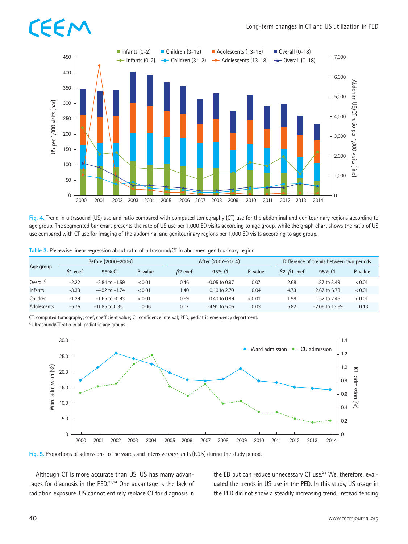# EE I



**Fig. 4.** Trend in ultrasound (US) use and ratio compared with computed tomography (CT) use for the abdominal and genitourinary regions according to age group. The segmented bar chart presents the rate of US use per 1,000 ED visits according to age group, while the graph chart shows the ratio of US use compared with CT use for imaging of the abdominal and genitourinary regions per 1,000 ED visits according to age group.

| Table 3. Piecewise linear regression about ratio of ultrasound/CT in abdomen-genitourinary region |  |  |  |
|---------------------------------------------------------------------------------------------------|--|--|--|
|                                                                                                   |  |  |  |

|                       |                | Before (2000-2006) |         |                | After (2007-2014)       |         |                           | Difference of trends between two periods |         |  |  |  |  |
|-----------------------|----------------|--------------------|---------|----------------|-------------------------|---------|---------------------------|------------------------------------------|---------|--|--|--|--|
| Age group             | $\beta$ 1 coef | 95% CI             | P-value | $\beta$ 2 coef | 95% CI                  | P-value | $\beta$ 2- $\beta$ 1 coef | 95% CI                                   | P-value |  |  |  |  |
| Overall <sup>a)</sup> | $-2.22$        | $-2.84$ to $-1.59$ | < 0.01  | 0.46           | $-0.05$ to $0.97$       | 0.07    | 2.68                      | 1.87 to 3.49                             | < 0.01  |  |  |  |  |
| Infants               | $-3.33$        | $-4.92$ to $-1.74$ | < 0.01  | 1.40           | $0.10 \text{ to } 2.70$ | 0.04    | 4.73                      | 2.67 to 6.78                             | < 0.01  |  |  |  |  |
| Children              | $-1.29$        | $-1.65$ to $-0.93$ | < 0.01  | 0.69           | 0.40 to 0.99            | < 0.01  | 1.98                      | 1.52 to 2.45                             | < 0.01  |  |  |  |  |
| Adolescents           | $-5.75$        | $-11.85$ to 0.35   | 0.06    | 0.07           | $-4.91$ to 5.05         | 0.03    | 5.82                      | $-2.06$ to 13.69                         | 0.13    |  |  |  |  |

CT, computed tomography; coef, coefficient value; CI, confidence interval; PED, pediatric emergency department.

a)Ultrasound/CT ratio in all pediatric age groups.



**Fig. 5.** Proportions of admissions to the wards and intensive care units (ICUs) during the study period.

Although CT is more accurate than US, US has many advantages for diagnosis in the PED. $23,24$  One advantage is the lack of radiation exposure. US cannot entirely replace CT for diagnosis in the ED but can reduce unnecessary CT use.<sup>25</sup> We, therefore, evaluated the trends in US use in the PED. In this study, US usage in the PED did not show a steadily increasing trend, instead tending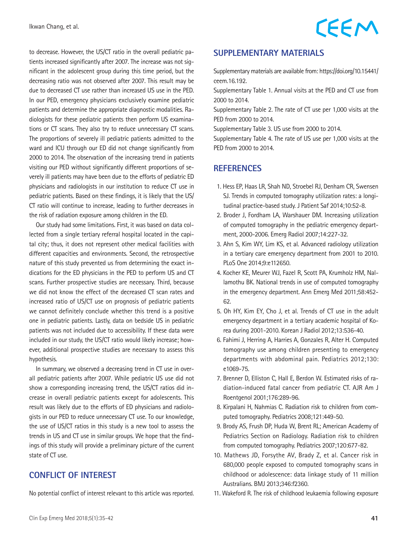to decrease. However, the US/CT ratio in the overall pediatric patients increased significantly after 2007. The increase was not significant in the adolescent group during this time period, but the decreasing ratio was not observed after 2007. This result may be due to decreased CT use rather than increased US use in the PED. In our PED, emergency physicians exclusively examine pediatric patients and determine the appropriate diagnostic modalities. Radiologists for these pediatric patients then perform US examinations or CT scans. They also try to reduce unnecessary CT scans. The proportions of severely ill pediatric patients admitted to the ward and ICU through our ED did not change significantly from 2000 to 2014. The observation of the increasing trend in patients visiting our PED without significantly different proportions of severely ill patients may have been due to the efforts of pediatric ED physicians and radiologists in our institution to reduce CT use in pediatric patients. Based on these findings, it is likely that the US/ CT ratio will continue to increase, leading to further decreases in the risk of radiation exposure among children in the ED.

Our study had some limitations. First, it was based on data collected from a single tertiary referral hospital located in the capital city; thus, it does not represent other medical facilities with different capacities and environments. Second, the retrospective nature of this study prevented us from determining the exact indications for the ED physicians in the PED to perform US and CT scans. Further prospective studies are necessary. Third, because we did not know the effect of the decreased CT scan rates and increased ratio of US/CT use on prognosis of pediatric patients we cannot definitely conclude whether this trend is a positive one in pediatric patients. Lastly, data on bedside US in pediatric patients was not included due to accessibility. If these data were included in our study, the US/CT ratio would likely increase; however, additional prospective studies are necessary to assess this hypothesis.

In summary, we observed a decreasing trend in CT use in overall pediatric patients after 2007. While pediatric US use did not show a corresponding increasing trend, the US/CT ratios did increase in overall pediatric patients except for adolescents. This result was likely due to the efforts of ED physicians and radiologists in our PED to reduce unnecessary CT use. To our knowledge, the use of US/CT ratios in this study is a new tool to assess the trends in US and CT use in similar groups. We hope that the findings of this study will provide a preliminary picture of the current state of CT use.

### **CONFLICT OF INTEREST**

No potential conflict of interest relevant to this article was reported.

Supplementary materials are available from: [https://doi.org/10.15441/](https://doi.org/10.15441/ceem.16.192.)  [ceem.16.192.](https://doi.org/10.15441/ceem.16.192.)

Supplementary Table 1. Annual visits at the PED and CT use from 2000 to 2014.

Supplementary Table 2. The rate of CT use per 1,000 visits at the PED from 2000 to 2014.

Supplementary Table 3. US use from 2000 to 2014.

Supplementary Table 4. The rate of US use per 1,000 visits at the PED from 2000 to 2014.

### **REFERENCES**

- 1. Hess EP, Haas LR, Shah ND, Stroebel RJ, Denham CR, Swensen SJ. Trends in computed tomography utilization rates: a longitudinal practice-based study. J Patient Saf 2014;10:52-8.
- 2. Broder J, Fordham LA, Warshauer DM. Increasing utilization of computed tomography in the pediatric emergency department, 2000-2006. Emerg Radiol 2007;14:227-32.
- 3. Ahn S, Kim WY, Lim KS, et al. Advanced radiology utilization in a tertiary care emergency department from 2001 to 2010. PLoS One 2014;9:e112650.
- 4. Kocher KE, Meurer WJ, Fazel R, Scott PA, Krumholz HM, Nallamothu BK. National trends in use of computed tomography in the emergency department. Ann Emerg Med 2011;58:452- 62.
- 5. Oh HY, Kim EY, Cho J, et al. Trends of CT use in the adult emergency department in a tertiary academic hospital of Korea during 2001-2010. Korean J Radiol 2012;13:536-40.
- 6. Fahimi J, Herring A, Harries A, Gonzales R, Alter H. Computed tomography use among children presenting to emergency departments with abdominal pain. Pediatrics 2012;130: e1069-75.
- 7. Brenner D, Elliston C, Hall E, Berdon W. Estimated risks of radiation-induced fatal cancer from pediatric CT. AJR Am J Roentgenol 2001;176:289-96.
- 8. Kirpalani H, Nahmias C. Radiation risk to children from computed tomography. Pediatrics 2008;121:449-50.
- 9. Brody AS, Frush DP, Huda W, Brent RL; American Academy of Pediatrics Section on Radiology. Radiation risk to children from computed tomography. Pediatrics 2007;120:677-82.
- 10. Mathews JD, Forsythe AV, Brady Z, et al. Cancer risk in 680,000 people exposed to computed tomography scans in childhood or adolescence: data linkage study of 11 million Australians. BMJ 2013;346:f2360.
- 11. Wakeford R. The risk of childhood leukaemia following exposure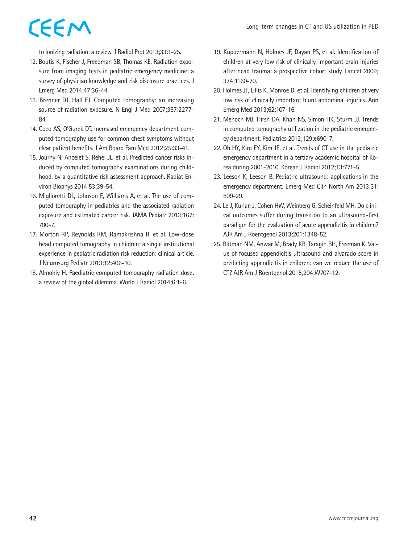to ionizing radiation: a review. J Radiol Prot 2013;33:1-25.

- 12. Boutis K, Fischer J, Freedman SB, Thomas KE. Radiation exposure from imaging tests in pediatric emergency medicine: a survey of physician knowledge and risk disclosure practices. J Emerg Med 2014;47:36-44.
- 13. Brenner DJ, Hall EJ. Computed tomography: an increasing source of radiation exposure. N Engl J Med 2007;357:2277- 84.
- 14. Coco AS, O'Gurek DT. Increased emergency department computed tomography use for common chest symptoms without clear patient benefits. J Am Board Fam Med 2012;25:33-41.
- 15. Journy N, Ancelet S, Rehel JL, et al. Predicted cancer risks induced by computed tomography examinations during childhood, by a quantitative risk assessment approach. Radiat Environ Biophys 2014;53:39-54.
- 16. Miglioretti DL, Johnson E, Williams A, et al. The use of computed tomography in pediatrics and the associated radiation exposure and estimated cancer risk. JAMA Pediatr 2013;167: 700-7.
- 17. Morton RP, Reynolds RM, Ramakrishna R, et al. Low-dose head computed tomography in children: a single institutional experience in pediatric radiation risk reduction: clinical article. J Neurosurg Pediatr 2013;12:406-10.
- 18. Almohiy H. Paediatric computed tomography radiation dose: a review of the global dilemma. World J Radiol 2014;6:1-6.
- 19. Kuppermann N, Holmes JF, Dayan PS, et al. Identification of children at very low risk of clinically-important brain injuries after head trauma: a prospective cohort study. Lancet 2009; 374:1160-70.
- 20. Holmes JF, Lillis K, Monroe D, et al. Identifying children at very low risk of clinically important blunt abdominal injuries. Ann Emerg Med 2013;62:107-16.
- 21. Menoch MJ, Hirsh DA, Khan NS, Simon HK, Sturm JJ. Trends in computed tomography utilization in the pediatric emergency department. Pediatrics 2012;129:e690-7.
- 22. Oh HY, Kim EY, Kim JE, et al. Trends of CT use in the pediatric emergency department in a tertiary academic hospital of Korea during 2001-2010. Korean J Radiol 2012;13:771-5.
- 23. Leeson K, Leeson B. Pediatric ultrasound: applications in the emergency department. Emerg Med Clin North Am 2013;31: 809-29.
- 24. Le J, Kurian J, Cohen HW, Weinberg G, Scheinfeld MH. Do clinical outcomes suffer during transition to an ultrasound-first paradigm for the evaluation of acute appendicitis in children? AJR Am J Roentgenol 2013;201:1348-52.
- 25. Blitman NM, Anwar M, Brady KB, Taragin BH, Freeman K. Value of focused appendicitis ultrasound and alvarado score in predicting appendicitis in children: can we reduce the use of CT? AJR Am J Roentgenol 2015;204:W707-12.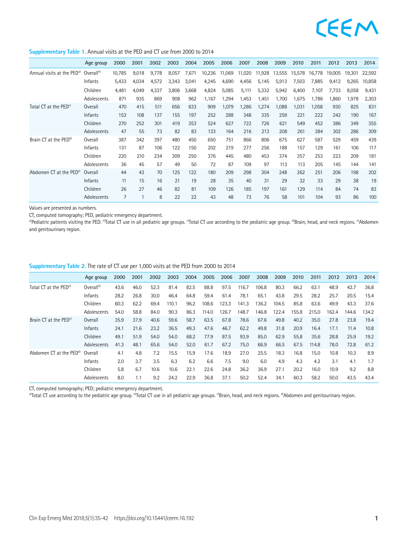#### **Supplementary Table 1.** Annual visits at the PED and CT use from 2000 to 2014

|                                        | Age group             | 2000           | 2001  | 2002  | 2003  | 2004  | 2005   | 2006   | 2007   | 2008   | 2009   | 2010   | 2011   | 2012   | 2013   | 2014   |
|----------------------------------------|-----------------------|----------------|-------|-------|-------|-------|--------|--------|--------|--------|--------|--------|--------|--------|--------|--------|
| Annual visits at the PED <sup>a)</sup> | Overall <sup>b)</sup> | 10,785         | 9,018 | 9,778 | 8,057 | 7,671 | 10,236 | 11,069 | 11,020 | 11,928 | 13,555 | 15,578 | 16,778 | 19,005 | 19,301 | 22,592 |
|                                        | Infants               | 5,433          | 4,034 | 4,572 | 3,343 | 3,041 | 4,245  | 4,690  | 4,456  | 5,145  | 5,913  | 7,503  | 7,885  | 9,412  | 9,265  | 10,858 |
|                                        | Children              | 4.481          | 4,049 | 4,337 | 3,806 | 3.668 | 4,824  | 5,085  | 5,111  | 5,332  | 5,942  | 6,400  | 7,107  | 7,733  | 8,058  | 9,431  |
|                                        | Adolescents           | 871            | 935   | 869   | 908   | 962   | 1,167  | 1,294  | 1,453  | 1,451  | 1,700  | 1,675  | 1,786  | 1,860  | 1,978  | 2,303  |
| Total CT at the PED <sup>c)</sup>      | Overall               | 470            | 415   | 511   | 656   | 633   | 909    | 1,079  | 1,286  | 1,274  | 1,088  | 1,031  | 1,058  | 930    | 825    | 831    |
|                                        | Infants               | 153            | 108   | 137   | 155   | 197   | 252    | 288    | 348    | 335    | 259    | 221    | 222    | 242    | 190    | 167    |
|                                        | Children              | 270            | 252   | 301   | 419   | 353   | 524    | 627    | 722    | 726    | 621    | 549    | 452    | 386    | 349    | 355    |
|                                        | Adolescents           | 47             | 55    | 73    | 82    | 83    | 133    | 164    | 216    | 213    | 208    | 261    | 384    | 302    | 286    | 309    |
| Brain CT at the PED <sup>d)</sup>      | Overall               | 387            | 342   | 397   | 480   | 450   | 650    | 751    | 866    | 806    | 675    | 627    | 587    | 529    | 459    | 439    |
|                                        | Infants               | 131            | 87    | 106   | 122   | 150   | 202    | 219    | 277    | 256    | 188    | 157    | 129    | 161    | 106    | 117    |
|                                        | Children              | 220            | 210   | 234   | 309   | 250   | 376    | 445    | 480    | 453    | 374    | 357    | 253    | 223    | 209    | 181    |
|                                        | Adolescents           | 36             | 45    | 57    | 49    | 50    | 72     | 87     | 109    | 97     | 113    | 113    | 205    | 145    | 144    | 141    |
| Abdomen CT at the PED <sup>e)</sup>    | Overall               | 44             | 43    | 70    | 125   | 122   | 180    | 209    | 298    | 304    | 248    | 262    | 251    | 206    | 198    | 202    |
|                                        | Infants               | 11             | 15    | 16    | 21    | 19    | 28     | 35     | 40     | 31     | 29     | 32     | 33     | 29     | 38     | 19     |
|                                        | Children              | 26             | 27    | 46    | 82    | 81    | 109    | 126    | 185    | 197    | 161    | 129    | 114    | 84     | 74     | 83     |
|                                        | Adolescents           | $\overline{7}$ |       | 8     | 22    | 22    | 43     | 48     | 73     | 76     | 58     | 101    | 104    | 93     | 86     | 100    |

Values are presented as numbers.

CT, computed tomography; PED, pediatric emergency department.<br><sup>a)</sup>Pediatric patients visiting the PED. <sup>b</sup>Total CT use in all pediatric age groups. <sup>c</sup>Total CT use according to the pediatric age group. <sup>d</sup>Brain, head, and and genitourinary region.

|  | Supplementary Table 2. The rate of CT use per 1,000 visits at the PED from 2000 to 2014 |
|--|-----------------------------------------------------------------------------------------|
|--|-----------------------------------------------------------------------------------------|

|                                     | Age group             | 2000 | 2001 | 2002 | 2003  | 2004 | 2005  | 2006  | 2007  | 2008  | 2009  | 2010  | 2011  | 2012  | 2013  | 2014  |
|-------------------------------------|-----------------------|------|------|------|-------|------|-------|-------|-------|-------|-------|-------|-------|-------|-------|-------|
| Total CT at the PED <sup>a)</sup>   | Overall <sup>b)</sup> | 43.6 | 46.0 | 52.3 | 81.4  | 82.5 | 88.8  | 97.5  | 116.7 | 106.8 | 80.3  | 66.2  | 63.1  | 48.9  | 42.7  | 36.8  |
|                                     | Infants               | 28.2 | 26.8 | 30.0 | 46.4  | 64.8 | 59.4  | 61.4  | 78.1  | 65.1  | 43.8  | 29.5  | 28.2  | 25.7  | 20.5  | 15.4  |
|                                     | Children              | 60.3 | 62.2 | 69.4 | 110.1 | 96.2 | 108.6 | 123.3 | 141.3 | 136.2 | 104.5 | 85.8  | 63.6  | 49.9  | 43.3  | 37.6  |
|                                     | Adolescents           | 54.0 | 58.8 | 84.0 | 90.3  | 86.3 | 114.0 | 126.7 | 148.7 | 146.8 | 122.4 | 155.8 | 215.0 | 162.4 | 144.6 | 134.2 |
| Brain CT at the PED <sup>c)</sup>   | Overall               | 35.9 | 37.9 | 40.6 | 59.6  | 58.7 | 63.5  | 67.8  | 78.6  | 67.6  | 49.8  | 40.2  | 35.0  | 27.8  | 23.8  | 19.4  |
|                                     | <b>Infants</b>        | 24.1 | 21.6 | 23.2 | 36.5  | 49.3 | 47.6  | 46.7  | 62.2  | 49.8  | 31.8  | 20.9  | 16.4  | 17.1  | 11.4  | 10.8  |
|                                     | Children              | 49.1 | 51.9 | 54.0 | 54.0  | 68.2 | 77.9  | 87.5  | 93.9  | 85.0  | 62.9  | 55.8  | 35.6  | 28.8  | 25.9  | 19.2  |
|                                     | Adolescents           | 41.3 | 48.1 | 65.6 | 54.0  | 52.0 | 61.7  | 67.2  | 75.0  | 66.9  | 66.5  | 67.5  | 114.8 | 78.0  | 72.8  | 61.2  |
| Abdomen CT at the PED <sup>d)</sup> | Overall               | 4.1  | 4.8  | 7.2  | 15.5  | 15.9 | 17.6  | 18.9  | 27.0  | 25.5  | 18.3  | 16.8  | 15.0  | 10.8  | 10.3  | 8.9   |
|                                     | Infants               | 2.0  | 3.7  | 3.5  | 6.3   | 6.2  | 6.6   | 7.5   | 9.0   | 6.0   | 4.9   | 4.3   | 4.2   | 3.1   | 4.1   | 1.7   |
|                                     | Children              | 5.8  | 6.7  | 10.6 | 10.6  | 22.1 | 22.6  | 24.8  | 36.2  | 36.9  | 27.1  | 20.2  | 16.0  | 10.9  | 9.2   | 8.8   |
|                                     | Adolescents           | 8.0  | 1.1  | 9.2  | 24.2  | 22.9 | 36.8  | 37.1  | 50.2  | 52.4  | 34.1  | 60.3  | 58.2  | 50.0  | 43.5  | 43.4  |

CT, computed tomography; PED; pediatric emergency department.<br><sup>a)</sup>Total CT use according to the pediatric age group. <sup>b</sup>Total CT use in all pediatric age groups. <sup>o</sup>Brain, head, and neck regions. <sup>d</sup>Abdomen and genitourina